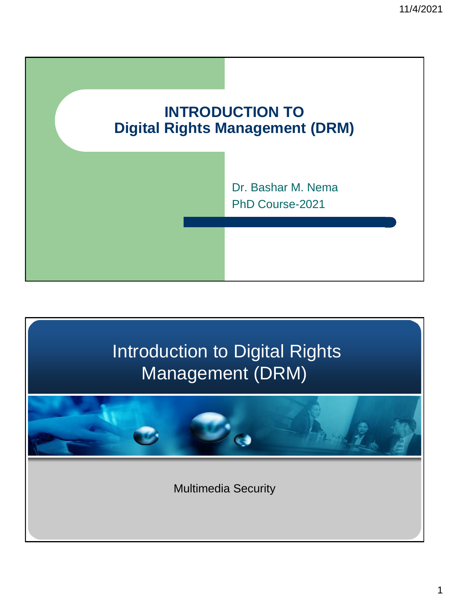

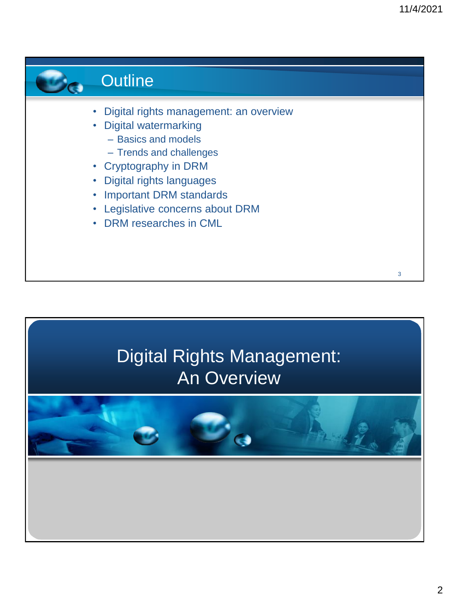

# Digital Rights Management: An Overview

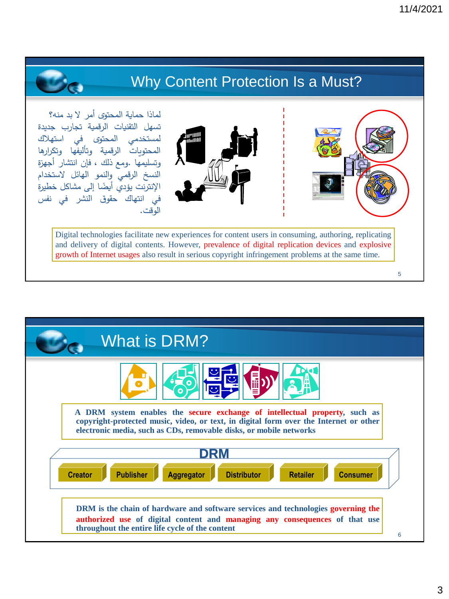5

## Why Content Protection Is a Must?

لماذا حماية المحتوى أمر ال بد منه؟ تسهل التقنيات الرقمية تجارب جديدة لمستخدمي المحتوى في المحتويات الرقمية وتأليفها وتكرارها وتسليمها .ومع ذلك ، فإن انتشار أجهز ة النسخ الرقمي والنمو الهائل الستخدام الإنترنت يؤدي أيضًا إلى مشاكل خطيرة<br>. في انتهاك حقوق النشر في نفس الوقت.





Digital technologies facilitate new experiences for content users in consuming, authoring, replicating and delivery of digital contents. However, prevalence of digital replication devices and explosive growth of Internet usages also result in serious copyright infringement problems at the same time.

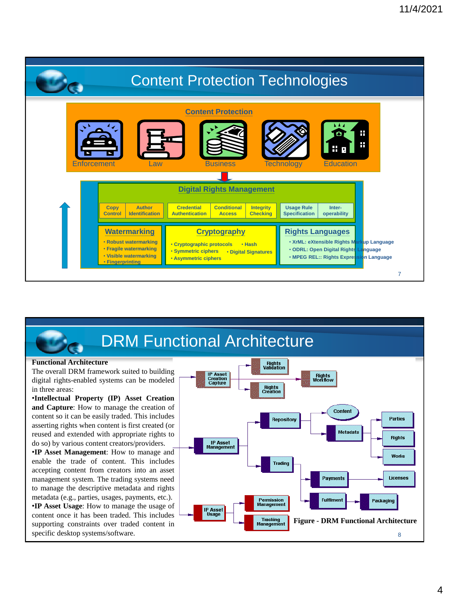

# **DRM Functional Architecture**

### **Functional Architecture**

The overall DRM framework suited to building digital rights-enabled systems can be modeled in three areas:

•**Intellectual Property (IP) Asset Creation and Capture**: How to manage the creation of content so it can be easily traded. This includes asserting rights when content is first created (or reused and extended with appropriate rights to do so) by various content creators/providers.

•**IP Asset Management**: How to manage and enable the trade of content. This includes accepting content from creators into an asset management system. The trading systems need to manage the descriptive metadata and rights metadata (e.g., parties, usages, payments, etc.). •**IP Asset Usage**: How to manage the usage of content once it has been traded. This includes supporting constraints over traded content in specific desktop systems/software.

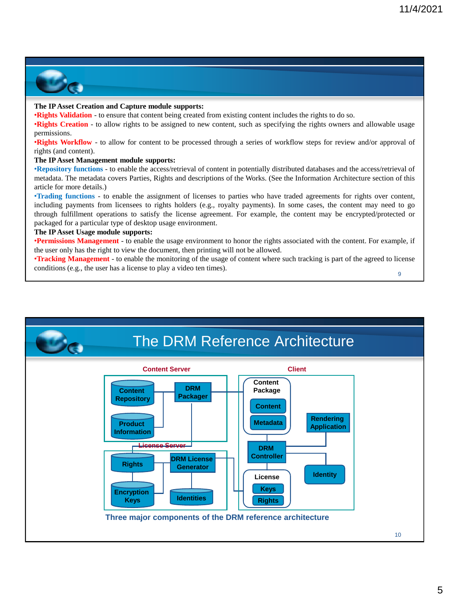

### **The IPAsset Creation and Capture module supports:**

•**Rights Validation** - to ensure that content being created from existing content includes the rights to do so.

•**Rights Creation** - to allow rights to be assigned to new content, such as specifying the rights owners and allowable usage permissions.

•**Rights Workflow** - to allow for content to be processed through a series of workflow steps for review and/or approval of rights (and content).

### **The IPAsset Management module supports:**

•**Repository functions** - to enable the access/retrieval of content in potentially distributed databases and the access/retrieval of metadata. The metadata covers Parties, Rights and descriptions of the Works. (See the Information Architecture section of this article for more details.)

•**Trading functions** - to enable the assignment of licenses to parties who have traded agreements for rights over content, including payments from licensees to rights holders (e.g., royalty payments). In some cases, the content may need to go through fulfillment operations to satisfy the license agreement. For example, the content may be encrypted/protected or packaged for a particular type of desktop usage environment.

### **The IPAsset Usage module supports:**

•**Permissions Management** - to enable the usage environment to honor the rights associated with the content. For example, if the user only has the right to view the document, then printing will not be allowed.

9 •**Tracking Management** - to enable the monitoring of the usage of content where such tracking is part of the agreed to license conditions (e.g., the user has a license to play a video ten times).

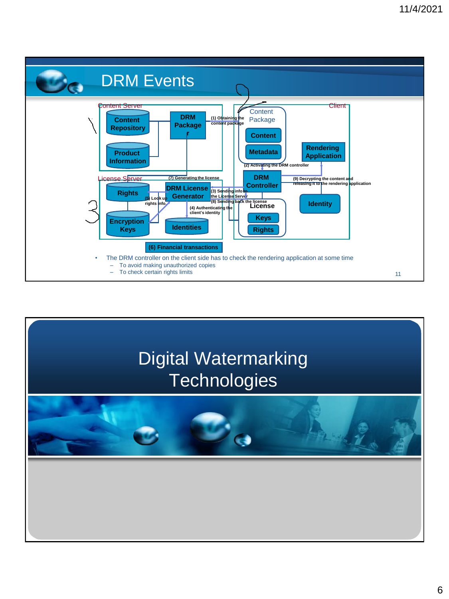

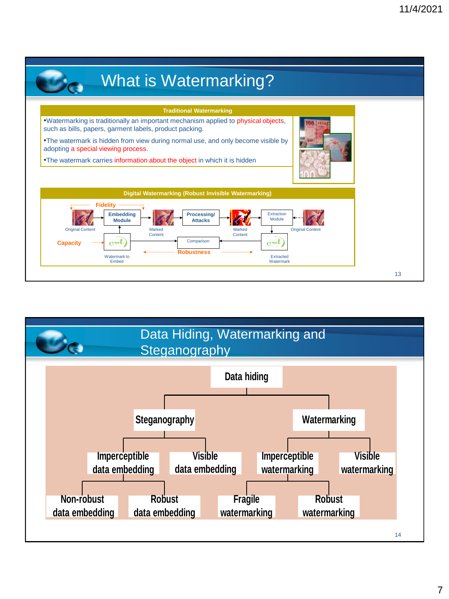

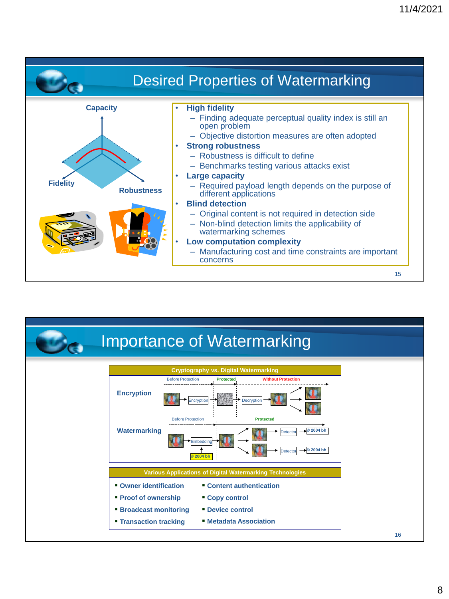

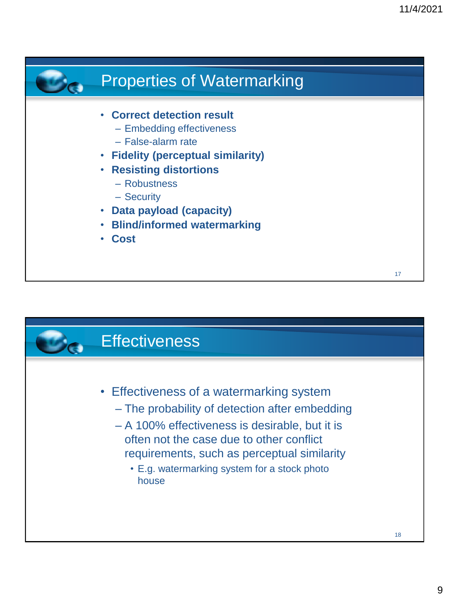

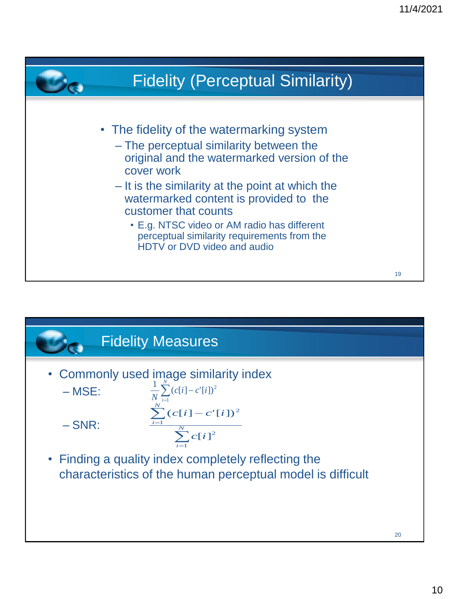

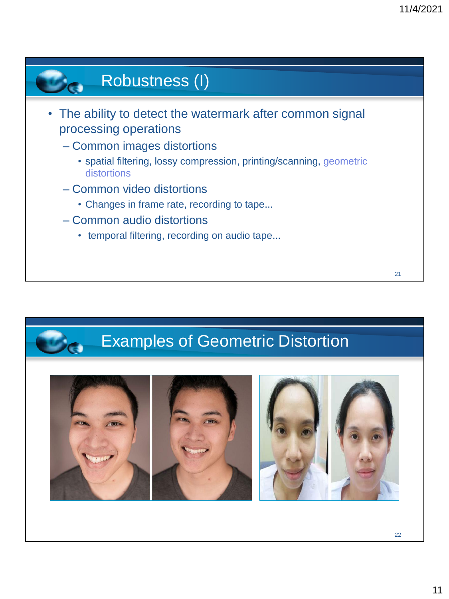# Robustness (I)

- The ability to detect the watermark after common signal processing operations
	- Common images distortions
		- spatial filtering, lossy compression, printing/scanning, geometric distortions
	- Common video distortions
		- Changes in frame rate, recording to tape…
	- Common audio distortions
		- temporal filtering, recording on audio tape…

# Examples of Geometric Distortion

22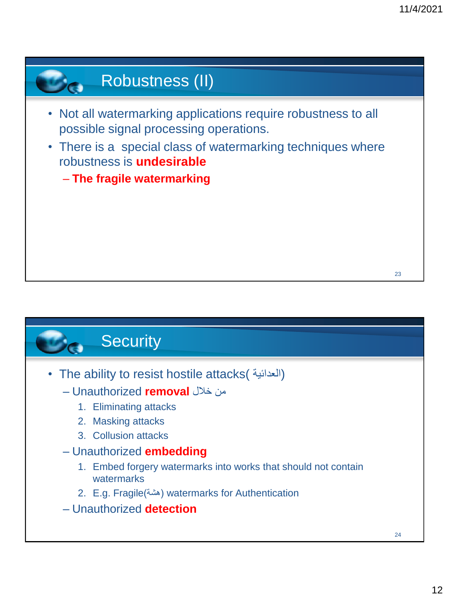# Robustness (II)

- Not all watermarking applications require robustness to all possible signal processing operations.
- There is a special class of watermarking techniques where robustness is **undesirable** 
	- **The fragile watermarking**



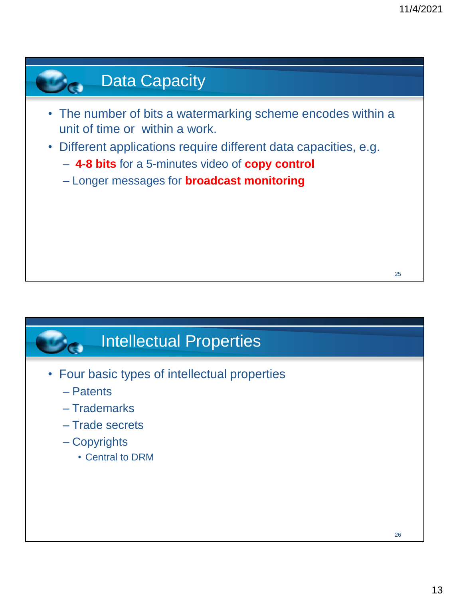# 25 **Data Capacity** • The number of bits a watermarking scheme encodes within a unit of time or within a work. • Different applications require different data capacities, e.g. – **4-8 bits** for a 5-minutes video of **copy control**  – Longer messages for **broadcast monitoring**